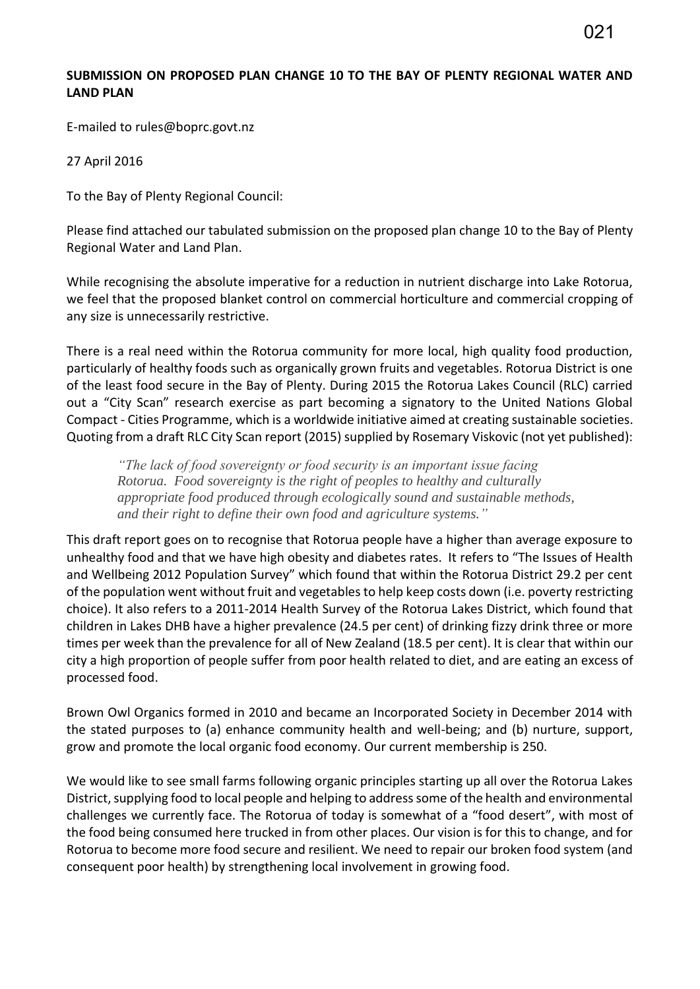## **SUBMISSION ON PROPOSED PLAN CHANGE 10 TO THE BAY OF PLENTY REGIONAL WATER AND LAND PLAN**

E-mailed to rules@boprc.govt.nz

27 April 2016

To the Bay of Plenty Regional Council:

Please find attached our tabulated submission on the proposed plan change 10 to the Bay of Plenty Regional Water and Land Plan.

While recognising the absolute imperative for a reduction in nutrient discharge into Lake Rotorua, we feel that the proposed blanket control on commercial horticulture and commercial cropping of any size is unnecessarily restrictive.

There is a real need within the Rotorua community for more local, high quality food production, particularly of healthy foods such as organically grown fruits and vegetables. Rotorua District is one of the least food secure in the Bay of Plenty. During 2015 the Rotorua Lakes Council (RLC) carried out a "City Scan" research exercise as part becoming a signatory to the United Nations Global Compact - Cities Programme, which is a worldwide initiative aimed at creating sustainable societies. Quoting from a draft RLC City Scan report (2015) supplied by Rosemary Viskovic (not yet published):

*"The lack of food sovereignty or food security is an important issue facing Rotorua. Food sovereignty is the right of peoples to healthy and culturally appropriate food produced through ecologically sound and sustainable methods, and their right to define their own food and agriculture systems."*

This draft report goes on to recognise that Rotorua people have a higher than average exposure to unhealthy food and that we have high obesity and diabetes rates. It refers to "The Issues of Health and Wellbeing 2012 Population Survey" which found that within the Rotorua District 29.2 per cent of the population went without fruit and vegetables to help keep costs down (i.e. poverty restricting choice). It also refers to a 2011-2014 Health Survey of the Rotorua Lakes District, which found that children in Lakes DHB have a higher prevalence (24.5 per cent) of drinking fizzy drink three or more times per week than the prevalence for all of New Zealand (18.5 per cent). It is clear that within our city a high proportion of people suffer from poor health related to diet, and are eating an excess of processed food.

Brown Owl Organics formed in 2010 and became an Incorporated Society in December 2014 with the stated purposes to (a) enhance community health and well-being; and (b) nurture, support, grow and promote the local organic food economy. Our current membership is 250.

We would like to see small farms following organic principles starting up all over the Rotorua Lakes District, supplying food to local people and helping to address some of the health and environmental challenges we currently face. The Rotorua of today is somewhat of a "food desert", with most of the food being consumed here trucked in from other places. Our vision is for this to change, and for Rotorua to become more food secure and resilient. We need to repair our broken food system (and consequent poor health) by strengthening local involvement in growing food.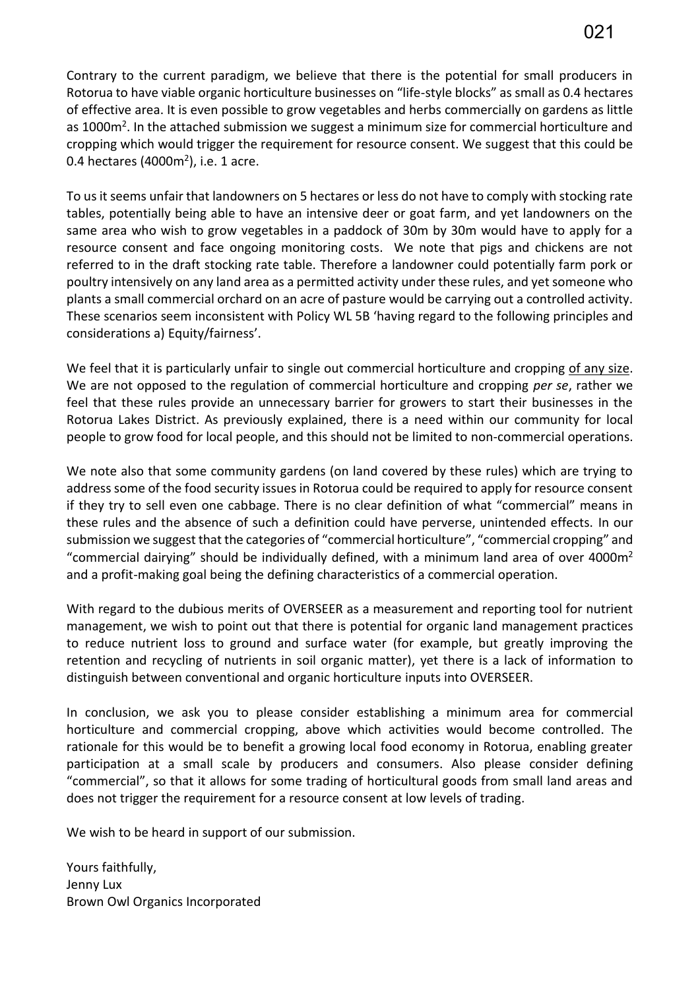Contrary to the current paradigm, we believe that there is the potential for small producers in Rotorua to have viable organic horticulture businesses on "life-style blocks" as small as 0.4 hectares of effective area. It is even possible to grow vegetables and herbs commercially on gardens as little as 1000m<sup>2</sup>. In the attached submission we suggest a minimum size for commercial horticulture and cropping which would trigger the requirement for resource consent. We suggest that this could be 0.4 hectares (4000m<sup>2</sup>), i.e. 1 acre.

To us it seems unfair that landowners on 5 hectares or less do not have to comply with stocking rate tables, potentially being able to have an intensive deer or goat farm, and yet landowners on the same area who wish to grow vegetables in a paddock of 30m by 30m would have to apply for a resource consent and face ongoing monitoring costs. We note that pigs and chickens are not referred to in the draft stocking rate table. Therefore a landowner could potentially farm pork or poultry intensively on any land area as a permitted activity under these rules, and yet someone who plants a small commercial orchard on an acre of pasture would be carrying out a controlled activity. These scenarios seem inconsistent with Policy WL 5B 'having regard to the following principles and considerations a) Equity/fairness'.

We feel that it is particularly unfair to single out commercial horticulture and cropping of any size. We are not opposed to the regulation of commercial horticulture and cropping *per se*, rather we feel that these rules provide an unnecessary barrier for growers to start their businesses in the Rotorua Lakes District. As previously explained, there is a need within our community for local people to grow food for local people, and this should not be limited to non-commercial operations.

We note also that some community gardens (on land covered by these rules) which are trying to address some of the food security issues in Rotorua could be required to apply for resource consent if they try to sell even one cabbage. There is no clear definition of what "commercial" means in these rules and the absence of such a definition could have perverse, unintended effects. In our submission we suggest that the categories of "commercial horticulture", "commercial cropping" and "commercial dairying" should be individually defined, with a minimum land area of over 4000 $m<sup>2</sup>$ and a profit-making goal being the defining characteristics of a commercial operation.

With regard to the dubious merits of OVERSEER as a measurement and reporting tool for nutrient management, we wish to point out that there is potential for organic land management practices to reduce nutrient loss to ground and surface water (for example, but greatly improving the retention and recycling of nutrients in soil organic matter), yet there is a lack of information to distinguish between conventional and organic horticulture inputs into OVERSEER.

In conclusion, we ask you to please consider establishing a minimum area for commercial horticulture and commercial cropping, above which activities would become controlled. The rationale for this would be to benefit a growing local food economy in Rotorua, enabling greater participation at a small scale by producers and consumers. Also please consider defining "commercial", so that it allows for some trading of horticultural goods from small land areas and does not trigger the requirement for a resource consent at low levels of trading.

We wish to be heard in support of our submission.

Yours faithfully, Jenny Lux Brown Owl Organics Incorporated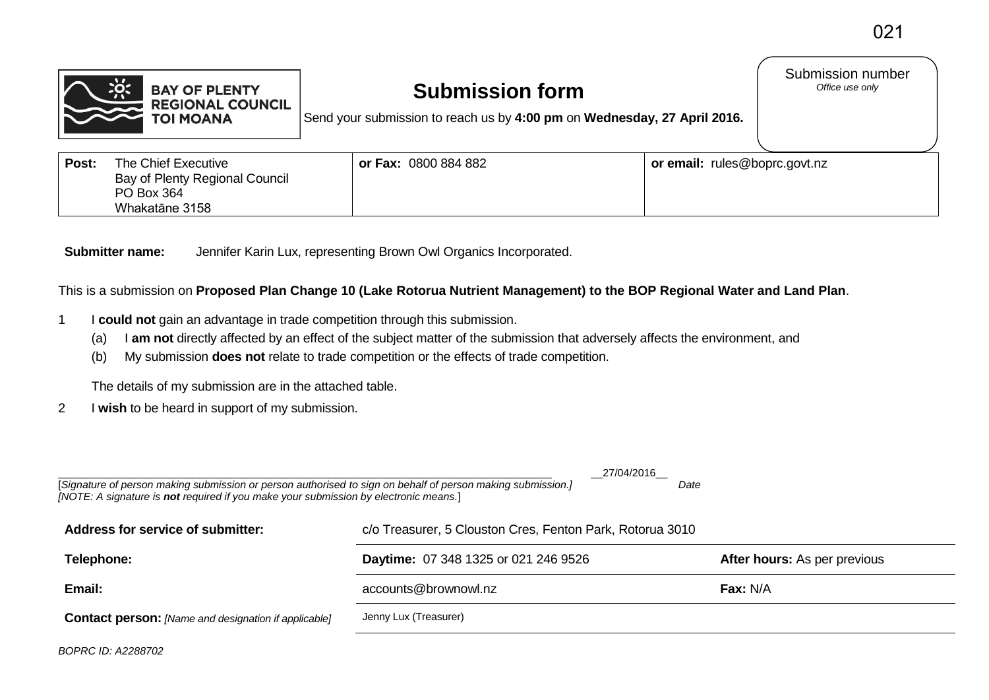Submission number<br>Office use only



## **Submission form**

Send your submission to reach us by **4:00 pm** on **Wednesday, 27 April 2016.**

| Post: | The Chief Executive<br>Bay of Plenty Regional Council<br>PO Box 364 | or Fax: 0800 884 882 | or email: rules@boprc.govt.nz |
|-------|---------------------------------------------------------------------|----------------------|-------------------------------|
|       | Whakatāne 3158                                                      |                      |                               |

**Submitter name:** Jennifer Karin Lux, representing Brown Owl Organics Incorporated.

This is a submission on **Proposed Plan Change 10 (Lake Rotorua Nutrient Management) to the BOP Regional Water and Land Plan**.

- 1 I **could not** gain an advantage in trade competition through this submission.
	- (a) I **am not** directly affected by an effect of the subject matter of the submission that adversely affects the environment, and
	- (b) My submission **does not** relate to trade competition or the effects of trade competition.

The details of my submission are in the attached table.

2 I **wish** to be heard in support of my submission.

| 27/04/2016<br>[Signature of person making submission or person authorised to sign on behalf of person making submission.]<br>Date<br>[NOTE: A signature is not required if you make your submission by electronic means.] |                                                           |                                     |  |  |  |
|---------------------------------------------------------------------------------------------------------------------------------------------------------------------------------------------------------------------------|-----------------------------------------------------------|-------------------------------------|--|--|--|
| Address for service of submitter:                                                                                                                                                                                         | c/o Treasurer, 5 Clouston Cres, Fenton Park, Rotorua 3010 |                                     |  |  |  |
| Telephone:                                                                                                                                                                                                                | <b>Daytime: 07 348 1325 or 021 246 9526</b>               | <b>After hours:</b> As per previous |  |  |  |
| Email:                                                                                                                                                                                                                    | accounts@brownowl.nz                                      | $\mathsf{Fax}$ : N/A                |  |  |  |
| <b>Contact person:</b> [Name and designation if applicable]                                                                                                                                                               | Jenny Lux (Treasurer)                                     |                                     |  |  |  |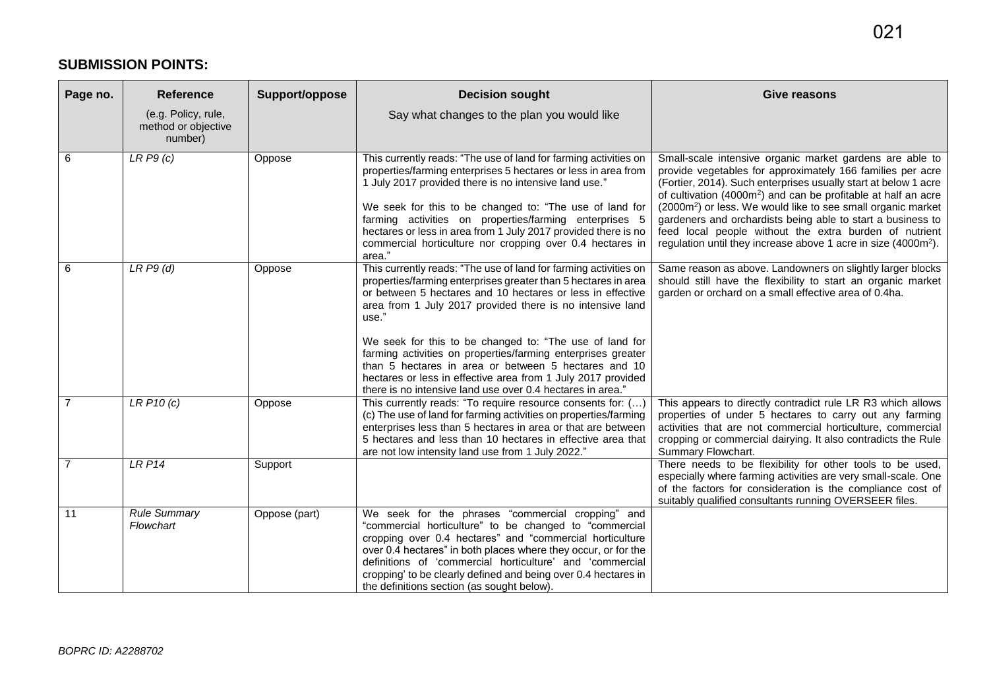## **SUBMISSION POINTS:**

| Page no.       | <b>Reference</b>                                      | Support/oppose | <b>Decision sought</b>                                                                                                                                                                                                                                                                                                                                                                                                                                                                                                                                                                  | Give reasons                                                                                                                                                                                                                                                                                                                                                                                                                                                                                                                                               |
|----------------|-------------------------------------------------------|----------------|-----------------------------------------------------------------------------------------------------------------------------------------------------------------------------------------------------------------------------------------------------------------------------------------------------------------------------------------------------------------------------------------------------------------------------------------------------------------------------------------------------------------------------------------------------------------------------------------|------------------------------------------------------------------------------------------------------------------------------------------------------------------------------------------------------------------------------------------------------------------------------------------------------------------------------------------------------------------------------------------------------------------------------------------------------------------------------------------------------------------------------------------------------------|
|                | (e.g. Policy, rule,<br>method or objective<br>number) |                | Say what changes to the plan you would like                                                                                                                                                                                                                                                                                                                                                                                                                                                                                                                                             |                                                                                                                                                                                                                                                                                                                                                                                                                                                                                                                                                            |
| 6              | LRP9(c)                                               | Oppose         | This currently reads: "The use of land for farming activities on<br>properties/farming enterprises 5 hectares or less in area from<br>1 July 2017 provided there is no intensive land use."<br>We seek for this to be changed to: "The use of land for<br>farming activities on properties/farming enterprises 5<br>hectares or less in area from 1 July 2017 provided there is no<br>commercial horticulture nor cropping over 0.4 hectares in<br>area."                                                                                                                               | Small-scale intensive organic market gardens are able to<br>provide vegetables for approximately 166 families per acre<br>(Fortier, 2014). Such enterprises usually start at below 1 acre<br>of cultivation (4000m <sup>2</sup> ) and can be profitable at half an acre<br>(2000m <sup>2</sup> ) or less. We would like to see small organic market<br>gardeners and orchardists being able to start a business to<br>feed local people without the extra burden of nutrient<br>regulation until they increase above 1 acre in size (4000m <sup>2</sup> ). |
| 6              | LRP9(d)                                               | Oppose         | This currently reads: "The use of land for farming activities on<br>properties/farming enterprises greater than 5 hectares in area<br>or between 5 hectares and 10 hectares or less in effective<br>area from 1 July 2017 provided there is no intensive land<br>use."<br>We seek for this to be changed to: "The use of land for<br>farming activities on properties/farming enterprises greater<br>than 5 hectares in area or between 5 hectares and 10<br>hectares or less in effective area from 1 July 2017 provided<br>there is no intensive land use over 0.4 hectares in area." | Same reason as above. Landowners on slightly larger blocks<br>should still have the flexibility to start an organic market<br>garden or orchard on a small effective area of 0.4ha.                                                                                                                                                                                                                                                                                                                                                                        |
|                | LRP10(c)                                              | Oppose         | This currently reads: "To require resource consents for: ()<br>(c) The use of land for farming activities on properties/farming<br>enterprises less than 5 hectares in area or that are between<br>5 hectares and less than 10 hectares in effective area that<br>are not low intensity land use from 1 July 2022."                                                                                                                                                                                                                                                                     | This appears to directly contradict rule LR R3 which allows<br>properties of under 5 hectares to carry out any farming<br>activities that are not commercial horticulture, commercial<br>cropping or commercial dairying. It also contradicts the Rule<br>Summary Flowchart.                                                                                                                                                                                                                                                                               |
| $\overline{7}$ | <b>LRP14</b>                                          | Support        |                                                                                                                                                                                                                                                                                                                                                                                                                                                                                                                                                                                         | There needs to be flexibility for other tools to be used,<br>especially where farming activities are very small-scale. One<br>of the factors for consideration is the compliance cost of<br>suitably qualified consultants running OVERSEER files.                                                                                                                                                                                                                                                                                                         |
| 11             | <b>Rule Summary</b><br>Flowchart                      | Oppose (part)  | We seek for the phrases "commercial cropping" and<br>"commercial horticulture" to be changed to "commercial<br>cropping over 0.4 hectares" and "commercial horticulture<br>over 0.4 hectares" in both places where they occur, or for the<br>definitions of 'commercial horticulture' and 'commercial<br>cropping' to be clearly defined and being over 0.4 hectares in<br>the definitions section (as sought below).                                                                                                                                                                   |                                                                                                                                                                                                                                                                                                                                                                                                                                                                                                                                                            |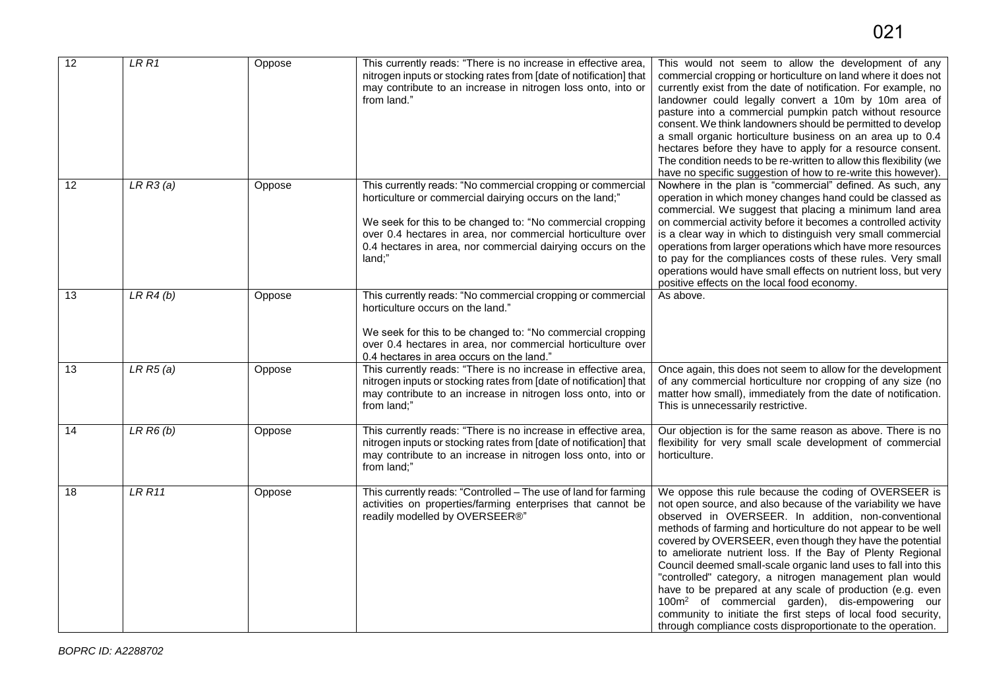| 12              | LRR1            | Oppose | This currently reads: "There is no increase in effective area,<br>nitrogen inputs or stocking rates from [date of notification] that<br>may contribute to an increase in nitrogen loss onto, into or<br>from land."                                                                                                           | This would not seem to allow the development of any<br>commercial cropping or horticulture on land where it does not<br>currently exist from the date of notification. For example, no<br>landowner could legally convert a 10m by 10m area of<br>pasture into a commercial pumpkin patch without resource<br>consent. We think landowners should be permitted to develop<br>a small organic horticulture business on an area up to 0.4<br>hectares before they have to apply for a resource consent.<br>The condition needs to be re-written to allow this flexibility (we<br>have no specific suggestion of how to re-write this however).                                                                                                                    |
|-----------------|-----------------|--------|-------------------------------------------------------------------------------------------------------------------------------------------------------------------------------------------------------------------------------------------------------------------------------------------------------------------------------|-----------------------------------------------------------------------------------------------------------------------------------------------------------------------------------------------------------------------------------------------------------------------------------------------------------------------------------------------------------------------------------------------------------------------------------------------------------------------------------------------------------------------------------------------------------------------------------------------------------------------------------------------------------------------------------------------------------------------------------------------------------------|
| $\overline{12}$ | LRR3(a)         | Oppose | This currently reads: "No commercial cropping or commercial<br>horticulture or commercial dairying occurs on the land;"<br>We seek for this to be changed to: "No commercial cropping<br>over 0.4 hectares in area, nor commercial horticulture over<br>0.4 hectares in area, nor commercial dairying occurs on the<br>land:" | Nowhere in the plan is "commercial" defined. As such, any<br>operation in which money changes hand could be classed as<br>commercial. We suggest that placing a minimum land area<br>on commercial activity before it becomes a controlled activity<br>is a clear way in which to distinguish very small commercial<br>operations from larger operations which have more resources<br>to pay for the compliances costs of these rules. Very small<br>operations would have small effects on nutrient loss, but very<br>positive effects on the local food economy.                                                                                                                                                                                              |
| 13              | LRR4(b)         | Oppose | This currently reads: "No commercial cropping or commercial<br>horticulture occurs on the land."<br>We seek for this to be changed to: "No commercial cropping<br>over 0.4 hectares in area, nor commercial horticulture over<br>0.4 hectares in area occurs on the land."                                                    | As above.                                                                                                                                                                                                                                                                                                                                                                                                                                                                                                                                                                                                                                                                                                                                                       |
| 13              | LRR5(a)         | Oppose | This currently reads: "There is no increase in effective area,<br>nitrogen inputs or stocking rates from [date of notification] that<br>may contribute to an increase in nitrogen loss onto, into or<br>from land;"                                                                                                           | Once again, this does not seem to allow for the development<br>of any commercial horticulture nor cropping of any size (no<br>matter how small), immediately from the date of notification.<br>This is unnecessarily restrictive.                                                                                                                                                                                                                                                                                                                                                                                                                                                                                                                               |
| 14              | $LR$ $R6$ $(b)$ | Oppose | This currently reads: "There is no increase in effective area,<br>nitrogen inputs or stocking rates from [date of notification] that<br>may contribute to an increase in nitrogen loss onto, into or<br>from land;"                                                                                                           | Our objection is for the same reason as above. There is no<br>flexibility for very small scale development of commercial<br>horticulture.                                                                                                                                                                                                                                                                                                                                                                                                                                                                                                                                                                                                                       |
| 18              | LRR11           | Oppose | This currently reads: "Controlled - The use of land for farming<br>activities on properties/farming enterprises that cannot be<br>readily modelled by OVERSEER®"                                                                                                                                                              | We oppose this rule because the coding of OVERSEER is<br>not open source, and also because of the variability we have<br>observed in OVERSEER. In addition, non-conventional<br>methods of farming and horticulture do not appear to be well<br>covered by OVERSEER, even though they have the potential<br>to ameliorate nutrient loss. If the Bay of Plenty Regional<br>Council deemed small-scale organic land uses to fall into this<br>"controlled" category, a nitrogen management plan would<br>have to be prepared at any scale of production (e.g. even<br>100m <sup>2</sup> of commercial garden), dis-empowering our<br>community to initiate the first steps of local food security,<br>through compliance costs disproportionate to the operation. |

021